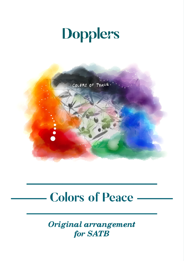## **Dopplers**



## **Colors of Peace**

Original arrangement for **SATB**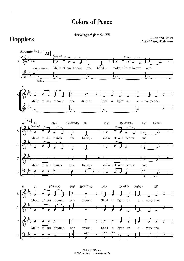## Colors of Peace

*Arranged for SATB*

**Dopplers** 

Music and lyrics: **Astrid Vang-Pedersen**



*Colors of Peace* © *2020 Dopplers www.dopplers.dk*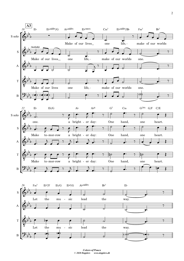

*Colors of Peace* © *2020 Dopplers www.dopplers.dk*